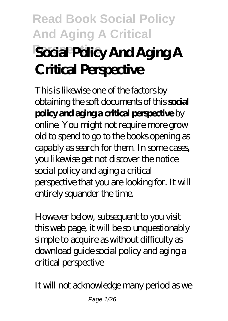# **Read Book Social Policy And Aging A Critical Perspective Social Policy And Aging A Critical Perspective**

This is likewise one of the factors by obtaining the soft documents of this **social policy and aging a critical perspective** by online. You might not require more grow old to spend to go to the books opening as capably as search for them. In some cases, you likewise get not discover the notice social policy and aging a critical perspective that you are looking for. It will entirely squander the time.

However below, subsequent to you visit this web page, it will be so unquestionably simple to acquire as without difficulty as download guide social policy and aging a critical perspective

It will not acknowledge many period as we

Page 1/26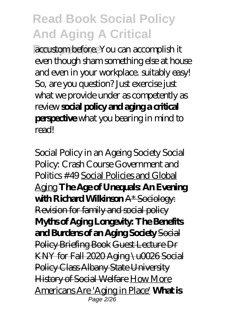**Perspective** accustom before. You can accomplish it even though sham something else at house and even in your workplace. suitably easy! So, are you question? Just exercise just what we provide under as competently as review **social policy and aging a critical perspective** what you bearing in mind to read!

Social Policy in an Ageing Society *Social Policy: Crash Course Government and Politics #49* Social Policies and Global Aging **The Age of Unequals: An Evening with Richard Willianson A\* Sociology:** Revision for family and social policy **Myths of Aging Longevity: The Benefits and Burdens of an Aging Society** Social Policy Briefing Book Guest Lecture Dr KNY for Fall 2020 Aging \u0026 Social Policy Class Albany State University History of Social Welfare How More Americans Are 'Aging in Place' **What is** Page 2/26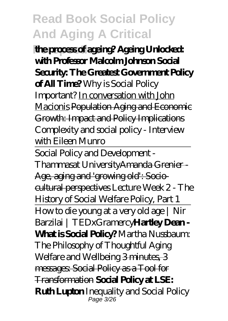**Perspective the process of ageing? Ageing Unlocked: with Professor Malcolm Johnson Social Security: The Greatest Government Policy of All Time?** *Why is Social Policy Important?* In conversation with John Macionis Population Aging and Economic Growth: Impact and Policy Implications Complexity and social policy - Interview with Eileen Munro

Social Policy and Development - Thammasat UniversityAmanda Grenier - Age, aging and 'growing old': Sociocultural perspectives *Lecture Week 2 - The History of Social Welfare Policy, Part 1* How to die young at a very old age | Nir Barzilai | TEDxGramercy**Hartley Dean - What is Social Policy?** *Martha Nussbaum: The Philosophy of Thoughtful Aging Welfare and Wellbeing* 3 minutes, 3 messages: Social Policy as a Tool for Transformation **Social Policy at LSE: Ruth Lupton** *Inequality and Social Policy* Page 3/26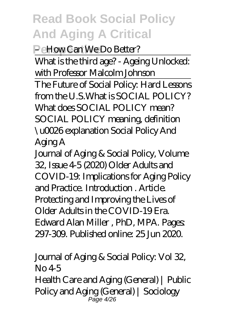**Perspective** *– How Can We Do Better?*

What is the third age? - Ageing Unlocked: with Professor Malcolm Johnson The Future of Social Policy: Hard Lessons from the U.S.*What is SOCIAL POLICY? What does SOCIAL POLICY mean? SOCIAL POLICY meaning, definition \u0026 explanation* Social Policy And Aging A

Journal of Aging & Social Policy, Volume 32, Issue 4-5 (2020) Older Adults and COVID-19: Implications for Aging Policy and Practice. Introduction . Article. Protecting and Improving the Lives of Older Adults in the COVID-19 Era. Edward Alan Miller , PhD, MPA. Pages: 297-309. Published online: 25 Jun 2020.

Journal of Aging & Social Policy: Vol 32,  $N<sub>0</sub>4.5$ Health Care and Aging (General) | Public

Policy and Aging (General) | Sociology Page 4/26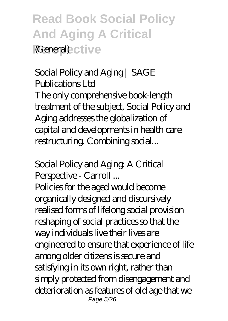**Read Book Social Policy And Aging A Critical Perspective** (General)

Social Policy and Aging | SAGE Publications Ltd The only comprehensive book-length treatment of the subject, Social Policy and Aging addresses the globalization of capital and developments in health care restructuring. Combining social...

Social Policy and Aging: A Critical Perspective - Carroll ...

Policies for the aged would become organically designed and discursively realised forms of lifelong social provision reshaping of social practices so that the way individuals live their lives are engineered to ensure that experience of life among older citizens is secure and satisfying in its own right, rather than simply protected from disengagement and deterioration as features of old age that we Page 5/26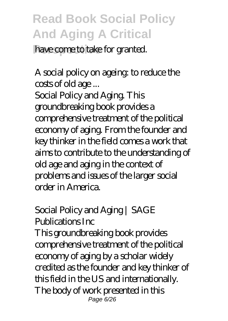have come to take for granted.

A social policy on ageing: to reduce the costs of old age ... Social Policy and Aging. This groundbreaking book provides a comprehensive treatment of the political economy of aging. From the founder and key thinker in the field comes a work that aims to contribute to the understanding of old age and aging in the context of problems and issues of the larger social

order in America.

Social Policy and Aging | SAGE Publications Inc This groundbreaking book provides

comprehensive treatment of the political economy of aging by a scholar widely credited as the founder and key thinker of this field in the US and internationally. The body of work presented in this Page 6/26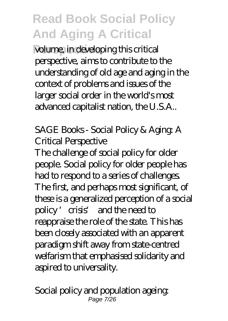**Perspective** volume, in developing this critical perspective, aims to contribute to the understanding of old age and aging in the context of problems and issues of the larger social order in the world's most advanced capitalist nation, the U.S.A..

SAGE Books - Social Policy & Aging: A Critical Perspective

The challenge of social policy for older people. Social policy for older people has had to respond to a series of challenges. The first, and perhaps most significant, of these is a generalized perception of a social policy 'crisis' and the need to reappraise the role of the state. This has been closely associated with an apparent paradigm shift away from state-centred welfarism that emphasised solidarity and aspired to universality.

Social policy and population ageing: Page 7/26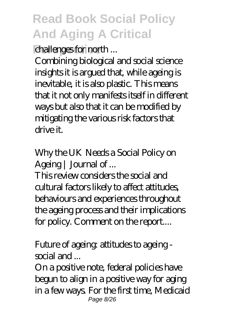drallenges for north ...

Combining biological and social science insights it is argued that, while ageing is inevitable, it is also plastic. This means that it not only manifests itself in different ways but also that it can be modified by mitigating the various risk factors that drive it.

Why the UK Needs a Social Policy on Ageing | Journal of ...

This review considers the social and cultural factors likely to affect attitudes, behaviours and experiences throughout the ageing process and their implications for policy. Comment on the report....

Future of ageing: attitudes to ageing social and ...

On a positive note, federal policies have begun to align in a positive way for aging in a few ways. For the first time, Medicaid Page 8/26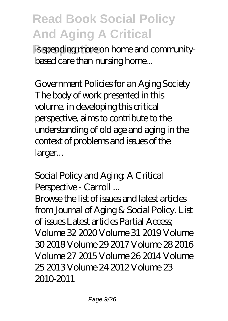is spending more on home and communitybased care than nursing home...

Government Policies for an Aging Society The body of work presented in this volume, in developing this critical perspective, aims to contribute to the understanding of old age and aging in the context of problems and issues of the larger...

Social Policy and Aging: A Critical Perspective - Carroll ... Browse the list of issues and latest articles from Journal of Aging & Social Policy. List of issues Latest articles Partial Access; Volume 32 2020 Volume 31 2019 Volume 30 2018 Volume 29 2017 Volume 28 2016 Volume 27 2015 Volume 26 2014 Volume 25 2013 Volume 24 2012 Volume 23 2010-2011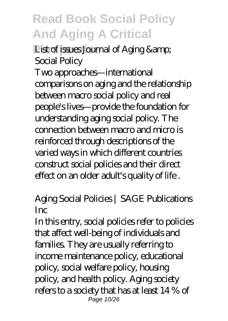**Perspectively List of issues Journal of Aging &** Social Policy

Two approaches—international comparisons on aging and the relationship between macro social policy and real people's lives—provide the foundation for understanding aging social policy. The connection between macro and micro is reinforced through descriptions of the varied ways in which different countries construct social policies and their direct effect on an older adult's quality of life .

Aging Social Policies | SAGE Publications Inc

In this entry, social policies refer to policies that affect well-being of individuals and families. They are usually referring to income maintenance policy, educational policy, social welfare policy, housing policy, and health policy. Aging society refers to a society that has at least 14 % of Page 10/26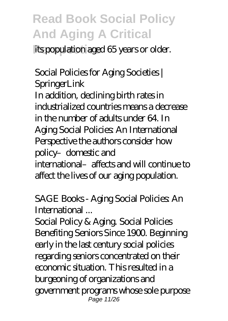its population aged 65 years or older.

Social Policies for Aging Societies | **SpringerLink** In addition, declining birth rates in industrialized countries means a decrease in the number of adults under 64. In Aging Social Policies: An International Perspective the authors consider how policy–domestic and international–affects and will continue to affect the lives of our aging population.

SAGE Books - Aging Social Policies: An International ...

Social Policy & Aging. Social Policies Benefiting Seniors Since 1900. Beginning early in the last century social policies regarding seniors concentrated on their economic situation. This resulted in a burgeoning of organizations and government programs whose sole purpose Page 11/26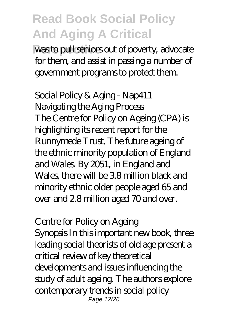was to pull seniors out of poverty, advocate for them, and assist in passing a number of government programs to protect them.

Social Policy & Aging - Nap411 Navigating the Aging Process The Centre for Policy on Ageing (CPA) is highlighting its recent report for the Runnymede Trust, The future ageing of the ethnic minority population of England and Wales. By 2051, in England and Wales, there will be 3.8 million black and minority ethnic older people aged 65 and over and 2.8 million aged 70 and over.

Centre for Policy on Ageing Synopsis In this important new book, three leading social theorists of old age present a critical review of key theoretical developments and issues influencing the study of adult ageing. The authors explore contemporary trends in social policy Page 12/26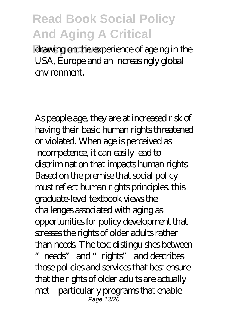drawing on the experience of ageing in the USA, Europe and an increasingly global environment.

As people age, they are at increased risk of having their basic human rights threatened or violated. When age is perceived as incompetence, it can easily lead to discrimination that impacts human rights. Based on the premise that social policy must reflect human rights principles, this graduate-level textbook views the challenges associated with aging as opportunities for policy development that stresses the rights of older adults rather than needs. The text distinguishes between needs" and "rights" and describes those policies and services that best ensure that the rights of older adults are actually met—particularly programs that enable Page 13/26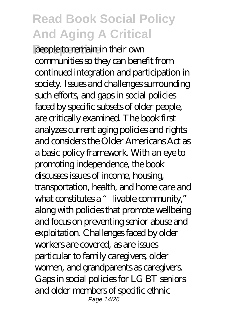**Perspective** people to remain in their own communities so they can benefit from continued integration and participation in society. Issues and challenges surrounding such efforts, and gaps in social policies faced by specific subsets of older people, are critically examined. The book first analyzes current aging policies and rights and considers the Older Americans Act as a basic policy framework. With an eye to promoting independence, the book discusses issues of income, housing, transportation, health, and home care and what constitutes a "livable community," along with policies that promote wellbeing and focus on preventing senior abuse and exploitation. Challenges faced by older workers are covered, as are issues particular to family caregivers, older women, and grandparents as caregivers. Gaps in social policies for LG BT seniors and older members of specific ethnic Page 14/26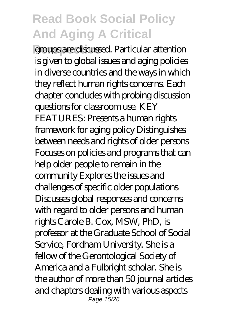**Perspective** groups are discussed. Particular attention is given to global issues and aging policies in diverse countries and the ways in which they reflect human rights concerns. Each chapter concludes with probing discussion questions for classroom use. KEY FEATURES: Presents a human rights framework for aging policy Distinguishes between needs and rights of older persons Focuses on policies and programs that can help older people to remain in the community Explores the issues and challenges of specific older populations Discusses global responses and concerns with regard to older persons and human rights Carole B. Cox, MSW, PhD, is professor at the Graduate School of Social Service, Fordham University. She is a fellow of the Gerontological Society of America and a Fulbright scholar. She is the author of more than 50 journal articles and chapters dealing with various aspects Page 15/26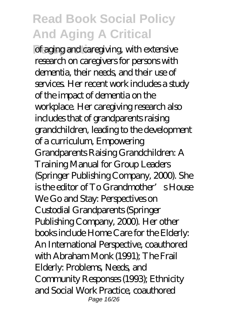of aging and caregiving, with extensive research on caregivers for persons with dementia, their needs, and their use of services. Her recent work includes a study of the impact of dementia on the workplace. Her caregiving research also includes that of grandparents raising grandchildren, leading to the development of a curriculum, Empowering Grandparents Raising Grandchildren: A Training Manual for Group Leaders (Springer Publishing Company, 2000). She  $is$  the editor of  $To$  Grandmother's House We Go and Stay: Perspectives on Custodial Grandparents (Springer Publishing Company, 2000). Her other books include Home Care for the Elderly: An International Perspective, coauthored with Abraham Monk (1991); The Frail Elderly: Problems, Needs, and Community Responses (1993); Ethnicity and Social Work Practice, coauthored Page 16/26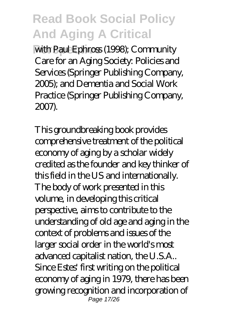with Paul Ephross (1998); Community Care for an Aging Society: Policies and Services (Springer Publishing Company, 2005); and Dementia and Social Work Practice (Springer Publishing Company, 2007).

This groundbreaking book provides comprehensive treatment of the political economy of aging by a scholar widely credited as the founder and key thinker of this field in the US and internationally. The body of work presented in this volume, in developing this critical perspective, aims to contribute to the understanding of old age and aging in the context of problems and issues of the larger social order in the world's most advanced capitalist nation, the U.S.A.. Since Estes' first writing on the political economy of aging in 1979, there has been growing recognition and incorporation of Page 17/26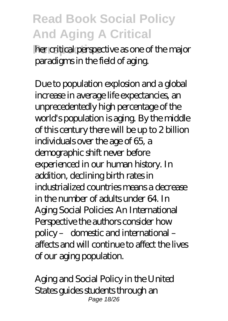**Per critical perspective as one of the major** paradigms in the field of aging.

Due to population explosion and a global increase in average life expectancies, an unprecedentedly high percentage of the world's population is aging. By the middle of this century there will be up to 2 billion individuals over the age of 65, a demographic shift never before experienced in our human history. In addition, declining birth rates in industrialized countries means a decrease in the number of adults under 64. In Aging Social Policies: An International Perspective the authors consider how policy – domestic and international – affects and will continue to affect the lives of our aging population.

Aging and Social Policy in the United States guides students through an Page 18/26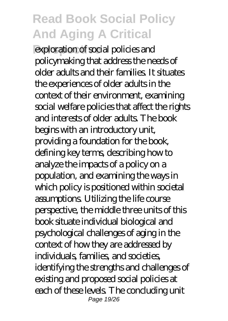exploration of social policies and policymaking that address the needs of older adults and their families. It situates the experiences of older adults in the context of their environment, examining social welfare policies that affect the rights and interests of older adults. The book begins with an introductory unit, providing a foundation for the book, defining key terms, describing how to analyze the impacts of a policy on a population, and examining the ways in which policy is positioned within societal assumptions. Utilizing the life course perspective, the middle three units of this book situate individual biological and psychological challenges of aging in the context of how they are addressed by individuals, families, and societies, identifying the strengths and challenges of existing and proposed social policies at each of these levels. The concluding unit Page 19/26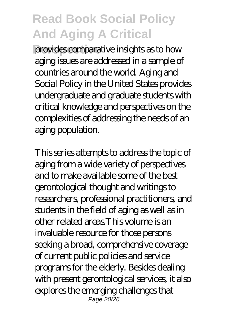**Perspective** provides comparative insights as to how aging issues are addressed in a sample of countries around the world. Aging and Social Policy in the United States provides undergraduate and graduate students with critical knowledge and perspectives on the complexities of addressing the needs of an aging population.

This series attempts to address the topic of aging from a wide variety of perspectives and to make available some of the best gerontological thought and writings to researchers, professional practitioners, and students in the field of aging as well as in other related areas.This volume is an invaluable resource for those persons seeking a broad, comprehensive coverage of current public policies and service programs for the elderly. Besides dealing with present gerontological services, it also explores the emerging challenges that Page 20/26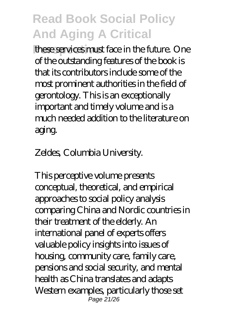**Phere services must face in the future. One** of the outstanding features of the book is that its contributors include some of the most prominent authorities in the field of gerontology. This is an exceptionally important and timely volume and is a much needed addition to the literature on aging.

Zeldes, Columbia University.

This perceptive volume presents conceptual, theoretical, and empirical approaches to social policy analysis comparing China and Nordic countries in their treatment of the elderly. An international panel of experts offers valuable policy insights into issues of housing, community care, family care, pensions and social security, and mental health as China translates and adapts Western examples, particularly those set Page  $21/26$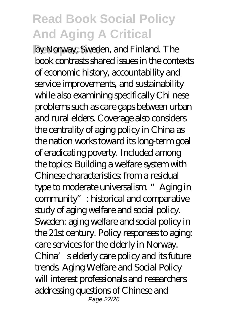by Norway, Sweden, and Finland. The book contrasts shared issues in the contexts of economic history, accountability and service improvements, and sustainability while also examining specifically Chi nese problems such as care gaps between urban and rural elders. Coverage also considers the centrality of aging policy in China as the nation works toward its long-term goal of eradicating poverty. Included among the topics: Building a welfare system with Chinese characteristics: from a residual type to moderate universalism. "Aging in community": historical and comparative study of aging welfare and social policy. Sweden: aging welfare and social policy in the 21st century. Policy responses to aging: care services for the elderly in Norway. China's elderly care policy and its future trends. Aging Welfare and Social Policy will interest professionals and researchers addressing questions of Chinese and Page 22/26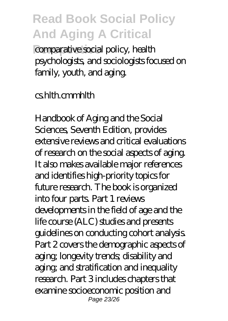comparative social policy, health psychologists, and sociologists focused on family, youth, and aging.

#### cs.hlth.cmmhlth

Handbook of Aging and the Social Sciences, Seventh Edition, provides extensive reviews and critical evaluations of research on the social aspects of aging. It also makes available major references and identifies high-priority topics for future research. The book is organized into four parts. Part 1 reviews developments in the field of age and the life course (ALC) studies and presents guidelines on conducting cohort analysis. Part 2 covers the demographic aspects of aging; longevity trends; disability and aging; and stratification and inequality research. Part 3 includes chapters that examine socioeconomic position and Page 23/26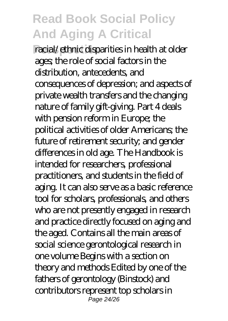**Perspective** racial/ethnic disparities in health at older ages; the role of social factors in the distribution, antecedents, and consequences of depression; and aspects of private wealth transfers and the changing nature of family gift-giving. Part 4 deals with pension reform in Europe; the political activities of older Americans; the future of retirement security; and gender differences in old age. The Handbook is intended for researchers, professional practitioners, and students in the field of aging. It can also serve as a basic reference tool for scholars, professionals, and others who are not presently engaged in research and practice directly focused on aging and the aged. Contains all the main areas of social science gerontological research in one volume Begins with a section on theory and methods Edited by one of the fathers of gerontology (Binstock) and contributors represent top scholars in Page 24/26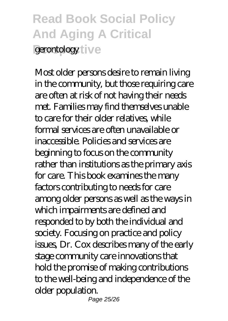# **Read Book Social Policy And Aging A Critical** *<u>perontology</u>* ive

Most older persons desire to remain living in the community, but those requiring care are often at risk of not having their needs met. Families may find themselves unable to care for their older relatives, while formal services are often unavailable or inaccessible. Policies and services are beginning to focus on the community rather than institutions as the primary axis for care. This book examines the many factors contributing to needs for care among older persons as well as the ways in which impairments are defined and responded to by both the individual and society. Focusing on practice and policy issues, Dr. Cox describes many of the early stage community care innovations that hold the promise of making contributions to the well-being and independence of the older population.

Page 25/26